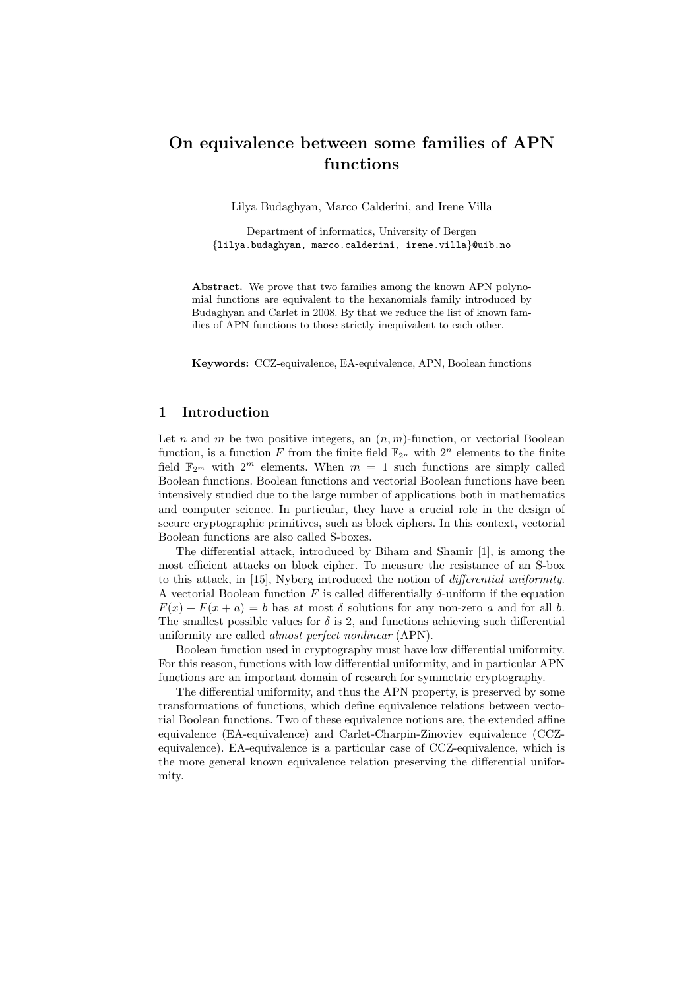# On equivalence between some families of APN functions

Lilya Budaghyan, Marco Calderini, and Irene Villa

Department of informatics, University of Bergen {lilya.budaghyan, marco.calderini, irene.villa}@uib.no

Abstract. We prove that two families among the known APN polynomial functions are equivalent to the hexanomials family introduced by Budaghyan and Carlet in 2008. By that we reduce the list of known families of APN functions to those strictly inequivalent to each other.

Keywords: CCZ-equivalence, EA-equivalence, APN, Boolean functions

# 1 Introduction

Let n and m be two positive integers, an  $(n, m)$ -function, or vectorial Boolean function, is a function F from the finite field  $\mathbb{F}_{2^n}$  with  $2^n$  elements to the finite field  $\mathbb{F}_{2^m}$  with  $2^m$  elements. When  $m = 1$  such functions are simply called Boolean functions. Boolean functions and vectorial Boolean functions have been intensively studied due to the large number of applications both in mathematics and computer science. In particular, they have a crucial role in the design of secure cryptographic primitives, such as block ciphers. In this context, vectorial Boolean functions are also called S-boxes.

The differential attack, introduced by Biham and Shamir [1], is among the most efficient attacks on block cipher. To measure the resistance of an S-box to this attack, in [15], Nyberg introduced the notion of differential uniformity. A vectorial Boolean function F is called differentially  $\delta$ -uniform if the equation  $F(x) + F(x + a) = b$  has at most  $\delta$  solutions for any non-zero a and for all b. The smallest possible values for  $\delta$  is 2, and functions achieving such differential uniformity are called almost perfect nonlinear (APN).

Boolean function used in cryptography must have low differential uniformity. For this reason, functions with low differential uniformity, and in particular APN functions are an important domain of research for symmetric cryptography.

The differential uniformity, and thus the APN property, is preserved by some transformations of functions, which define equivalence relations between vectorial Boolean functions. Two of these equivalence notions are, the extended affine equivalence (EA-equivalence) and Carlet-Charpin-Zinoviev equivalence (CCZequivalence). EA-equivalence is a particular case of CCZ-equivalence, which is the more general known equivalence relation preserving the differential uniformity.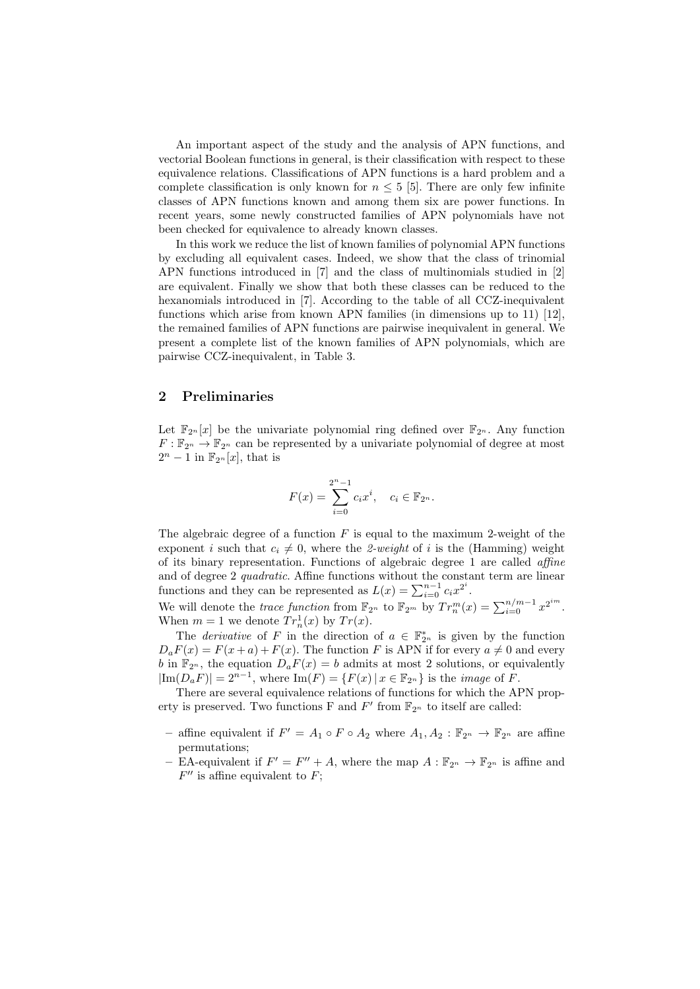An important aspect of the study and the analysis of APN functions, and vectorial Boolean functions in general, is their classification with respect to these equivalence relations. Classifications of APN functions is a hard problem and a complete classification is only known for  $n \leq 5$  [5]. There are only few infinite classes of APN functions known and among them six are power functions. In recent years, some newly constructed families of APN polynomials have not been checked for equivalence to already known classes.

In this work we reduce the list of known families of polynomial APN functions by excluding all equivalent cases. Indeed, we show that the class of trinomial APN functions introduced in [7] and the class of multinomials studied in [2] are equivalent. Finally we show that both these classes can be reduced to the hexanomials introduced in [7]. According to the table of all CCZ-inequivalent functions which arise from known APN families (in dimensions up to 11) [12], the remained families of APN functions are pairwise inequivalent in general. We present a complete list of the known families of APN polynomials, which are pairwise CCZ-inequivalent, in Table 3.

## 2 Preliminaries

Let  $\mathbb{F}_{2^n}[x]$  be the univariate polynomial ring defined over  $\mathbb{F}_{2^n}$ . Any function  $F: \mathbb{F}_{2^n} \to \mathbb{F}_{2^n}$  can be represented by a univariate polynomial of degree at most  $2^n - 1$  in  $\mathbb{F}_{2^n}[x]$ , that is

$$
F(x) = \sum_{i=0}^{2^{n}-1} c_{i}x^{i}, \quad c_{i} \in \mathbb{F}_{2^{n}}.
$$

The algebraic degree of a function  $F$  is equal to the maximum 2-weight of the exponent i such that  $c_i \neq 0$ , where the 2-weight of i is the (Hamming) weight of its binary representation. Functions of algebraic degree 1 are called affine and of degree 2 quadratic. Affine functions without the constant term are linear functions and they can be represented as  $L(x) = \sum_{i=0}^{n-1} c_i x^{2^i}$ .

We will denote the *trace function* from  $\mathbb{F}_{2^n}$  to  $\mathbb{F}_{2^m}$  by  $Tr_n^m(x) = \sum_{i=0}^{n/m-1} x^{2^{i m}}$ . When  $m = 1$  we denote  $Tr_n^1(x)$  by  $Tr(x)$ .

The *derivative* of F in the direction of  $a \in \mathbb{F}_{2^n}^*$  is given by the function  $D_aF(x) = F(x+a) + F(x)$ . The function F is APN if for every  $a \neq 0$  and every b in  $\mathbb{F}_{2^n}$ , the equation  $D_aF(x) = b$  admits at most 2 solutions, or equivalently  $|\text{Im}(D_aF)| = 2^{n-1}$ , where  $\text{Im}(F) = \{F(x) | x \in \mathbb{F}_{2^n}\}$  is the *image* of F.

There are several equivalence relations of functions for which the APN property is preserved. Two functions F and  $F'$  from  $\mathbb{F}_{2^n}$  to itself are called:

- affine equivalent if  $F' = A_1 \circ F \circ A_2$  where  $A_1, A_2 : \mathbb{F}_{2^n} \to \mathbb{F}_{2^n}$  are affine permutations;
- EA-equivalent if  $F' = F'' + A$ , where the map  $A : \mathbb{F}_{2^n} \to \mathbb{F}_{2^n}$  is affine and  $F''$  is affine equivalent to F;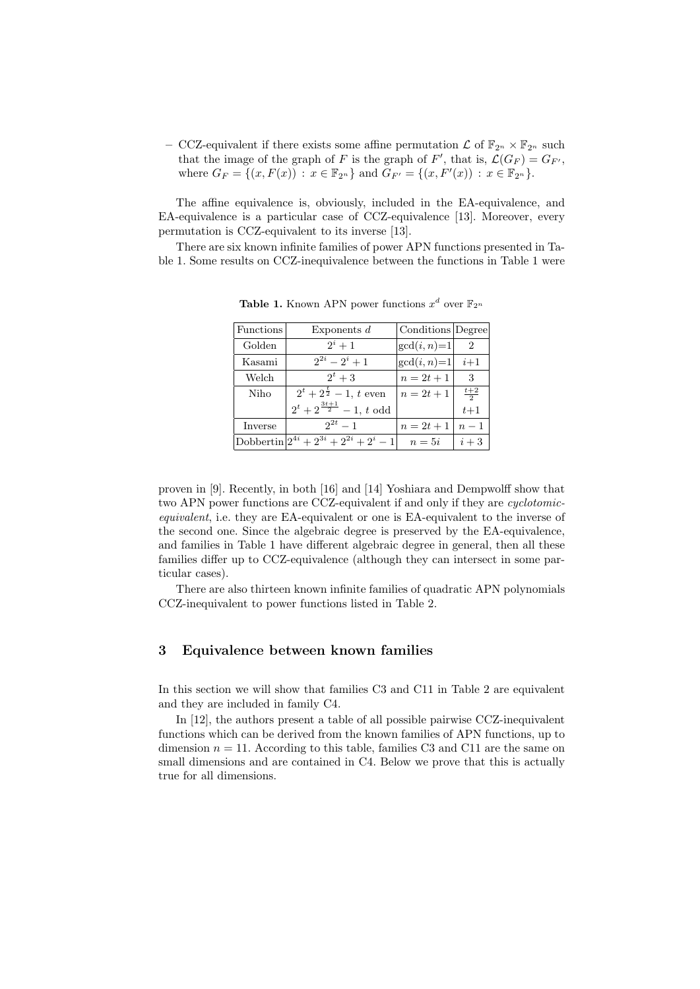– CCZ-equivalent if there exists some affine permutation  $\mathcal L$  of  $\mathbb F_{2^n} \times \mathbb F_{2^n}$  such that the image of the graph of F is the graph of F', that is,  $\mathcal{L}(G_F) = G_{F'}$ , where  $G_F = \{(x, F(x)) : x \in \mathbb{F}_{2^n}\}\$  and  $G_{F'} = \{(x, F'(x)) : x \in \mathbb{F}_{2^n}\}.$ 

The affine equivalence is, obviously, included in the EA-equivalence, and EA-equivalence is a particular case of CCZ-equivalence [13]. Moreover, every permutation is CCZ-equivalent to its inverse [13].

There are six known infinite families of power APN functions presented in Table 1. Some results on CCZ-inequivalence between the functions in Table 1 were

| Functions | Exponents $d$                                    | Conditions Degree |                |
|-----------|--------------------------------------------------|-------------------|----------------|
| Golden    | $2^i + 1$                                        | $gcd(i, n)=1$     | $\overline{2}$ |
| Kasami    | $2^{2i} - 2^i + 1$                               | $gcd(i, n)=1$     | $i+1$          |
| Welch     | $2^t + 3$                                        | $n = 2t + 1$      | 3              |
| Niho      | $\overline{2^t} + 2^{\frac{t}{2}} - 1$ , t even  | $n = 2t + 1$      | $rac{t+2}{2}$  |
|           | $2^t + 2^{\frac{3t+1}{2}} - 1$ , t odd           |                   | $t+1$          |
| Inverse   | $2^{2t}-1$                                       | $n = 2t + 1$      | $n-1$          |
|           | Dobbertin $ 2^{4i} + 2^{3i} + 2^{2i} + 2^i - 1 $ | $n=5i$            | $i+3$          |

**Table 1.** Known APN power functions  $x^d$  over  $\mathbb{F}_{2^n}$ 

proven in [9]. Recently, in both [16] and [14] Yoshiara and Dempwolff show that two APN power functions are CCZ-equivalent if and only if they are cyclotomicequivalent, i.e. they are EA-equivalent or one is EA-equivalent to the inverse of the second one. Since the algebraic degree is preserved by the EA-equivalence, and families in Table 1 have different algebraic degree in general, then all these families differ up to CCZ-equivalence (although they can intersect in some particular cases).

There are also thirteen known infinite families of quadratic APN polynomials CCZ-inequivalent to power functions listed in Table 2.

# 3 Equivalence between known families

In this section we will show that families C3 and C11 in Table 2 are equivalent and they are included in family C4.

In [12], the authors present a table of all possible pairwise CCZ-inequivalent functions which can be derived from the known families of APN functions, up to dimension  $n = 11$ . According to this table, families C3 and C11 are the same on small dimensions and are contained in C4. Below we prove that this is actually true for all dimensions.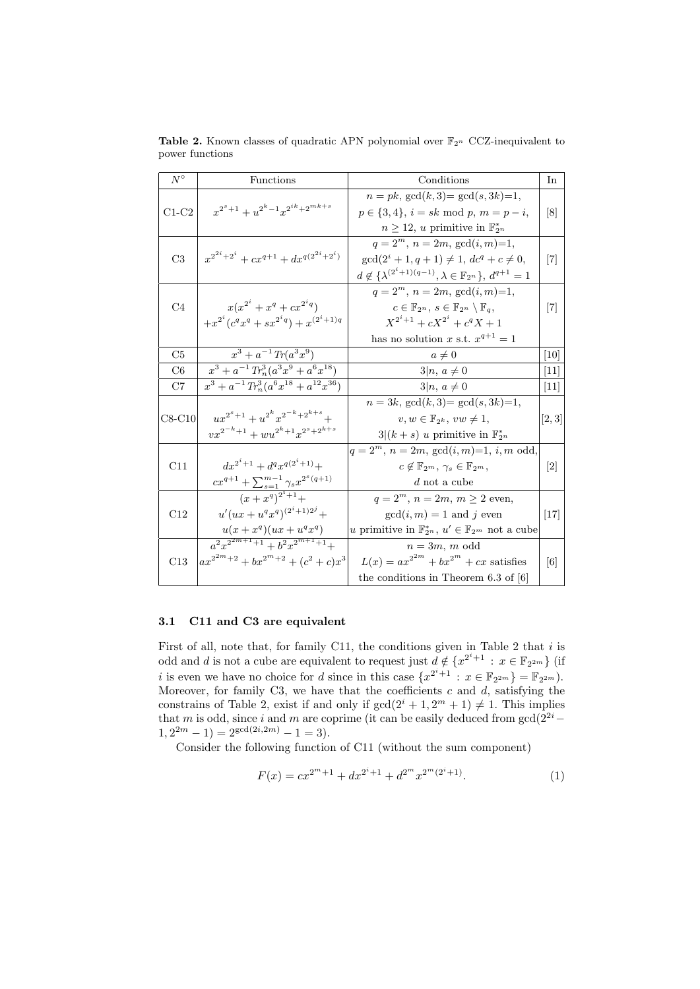| $N^{\circ}$    | Functions                                                                       | Conditions                                                                         | In                |
|----------------|---------------------------------------------------------------------------------|------------------------------------------------------------------------------------|-------------------|
|                | $x^{2^s+1} + u^{2^k-1}x^{2^{ik}+2^{mk+s}}$                                      | $n = pk$ , $gcd(k, 3) = gcd(s, 3k) = 1$ ,                                          |                   |
| $C1-C2$        |                                                                                 | $p \in \{3, 4\}, i = sk \mod p, m = p - i,$                                        | $\lceil 8 \rceil$ |
|                |                                                                                 | $n \geq 12$ , u primitive in $\mathbb{F}_{2^n}^*$                                  |                   |
|                | $x^{2^{2i}+2^i} + cx^{q+1} + dx^{q(2^{2i}+2^i)}$                                | $q = 2^m$ , $n = 2m$ , $gcd(i, m) = 1$ ,                                           |                   |
| C <sub>3</sub> |                                                                                 | $\gcd(2^i+1, q+1) \neq 1, dc^q+c \neq 0,$                                          | 7                 |
|                |                                                                                 | $d \notin {\{\lambda^{(2^i+1)(q-1)}, \lambda \in \mathbb{F}_{2^n}\}, d^{q+1} = 1}$ |                   |
|                |                                                                                 | $q = 2^m$ , $n = 2m$ , $gcd(i, m) = 1$ ,                                           |                   |
| C <sub>4</sub> | $x(x^{2^i}+x^q+cx^{2^iq})$                                                      | $c \in \mathbb{F}_{2^n}$ , $s \in \mathbb{F}_{2^n} \setminus \mathbb{F}_a$         | $[7]$             |
|                | $+x^{2^i}(c^q x^q + s x^{2^iq}) + x^{(2^i+1)q}$                                 | $X^{2^i+1} + cX^{2^i} + c^q X + 1$                                                 |                   |
|                |                                                                                 | has no solution x s.t. $x^{q+1} = 1$                                               |                   |
| C5             | $x^3 + a^{-1} Tr(a^3 x^9)$                                                      | $a\neq 0$                                                                          | 10                |
| C6             | $x^3 + a^{-1} Tr_n^3(a^3x^9 + a^6x^{18})$                                       | $3 n, a \neq 0$                                                                    | 11                |
| C7             | $x^3 + a^{-1} Tr_n^3 (a^6 x^{18} + a^{12} x^{36})$                              | $3 n, a \neq 0$                                                                    | 11                |
|                |                                                                                 | $n = 3k$ , $gcd(k, 3) = gcd(s, 3k) = 1$ ,                                          |                   |
| $C8-C10$       | $ux^{2^s+1} + u^{2^k}x^{2^{-k}+2^{k+s}} +$                                      | $v, w \in \mathbb{F}_{2^k}, vw \neq 1,$                                            | [2,3]             |
|                | $v x^{2^{-k}+1} + w u^{2^k+1} x^{2^s+2^{k+s}}$                                  | $3 (k+s)$ u primitive in $\mathbb{F}_{2^n}^*$                                      |                   |
|                |                                                                                 | $q = 2^m$ , $n = 2m$ , $gcd(i, m)=1$ , i, m odd,                                   |                   |
| C11            | $dx^{2^i+1} + d^q x^{q(2^i+1)} +$                                               | $c \notin \mathbb{F}_{2^m}, \gamma_s \in \mathbb{F}_{2^m},$                        | $\lceil 2 \rceil$ |
|                | $cx^{q+1} + \sum_{s=1}^{m-1} \gamma_s x^{2^s(q+1)}$                             | $d$ not a cube                                                                     |                   |
|                | $(x+x^{\overline{q}})^{2^i+1}+$                                                 | $q = 2^m$ , $n = 2m$ , $m \ge 2$ even,                                             |                   |
| C12            | $u'(ux+u^q x^q)^{(2^i+1)2^j} +$                                                 | $gcd(i, m) = 1$ and j even                                                         | $[17]$            |
|                | $u(x+x^q)(ux+u^q x^q)$                                                          | u primitive in $\mathbb{F}_{2^n}^*$ , $u' \in \mathbb{F}_{2^m}$ not a cube         |                   |
|                | $\frac{a^2x^{2^{2m+1}+1}+b^2x^{2^{m+1}+1}+}{b^2x^{2^{m+1}+1}+b^2x^{2^{m+1}+1}}$ | $n \equiv 3m$ , m odd                                                              |                   |
| C13            | $ax^{2^{2m}+2} + bx^{2^m+2} + (c^2+c)x^3$                                       | $L(x) = ax^{2^{2m}} + bx^{2^m} + cx$ satisfies                                     | $\lceil 6 \rceil$ |
|                |                                                                                 | the conditions in Theorem 6.3 of $[6]$                                             |                   |

**Table 2.** Known classes of quadratic APN polynomial over  $\mathbb{F}_{2^n}$  CCZ-inequivalent to power functions

### 3.1 C11 and C3 are equivalent

First of all, note that, for family C11, the conditions given in Table 2 that  $i$  is odd and d is not a cube are equivalent to request just  $d \notin \{x^{2^i+1} : x \in \mathbb{F}_{2^{2m}}\}\$  (if *i* is even we have no choice for *d* since in this case  $\{x^{2^i+1} : x \in \mathbb{F}_{2^{2m}}\} = \mathbb{F}_{2^{2m}}\}$ . Moreover, for family C3, we have that the coefficients  $c$  and  $d$ , satisfying the constrains of Table 2, exist if and only if  $gcd(2^i + 1, 2^m + 1) \neq 1$ . This implies that m is odd, since i and m are coprime (it can be easily deduced from  $gcd(2^{2i} 1, 2^{2m} - 1$  =  $2^{\gcd(2i, 2m)} - 1 = 3$ .

Consider the following function of C11 (without the sum component)

$$
F(x) = cx^{2^m+1} + dx^{2^i+1} + d^{2^m}x^{2^m(2^i+1)}.
$$
 (1)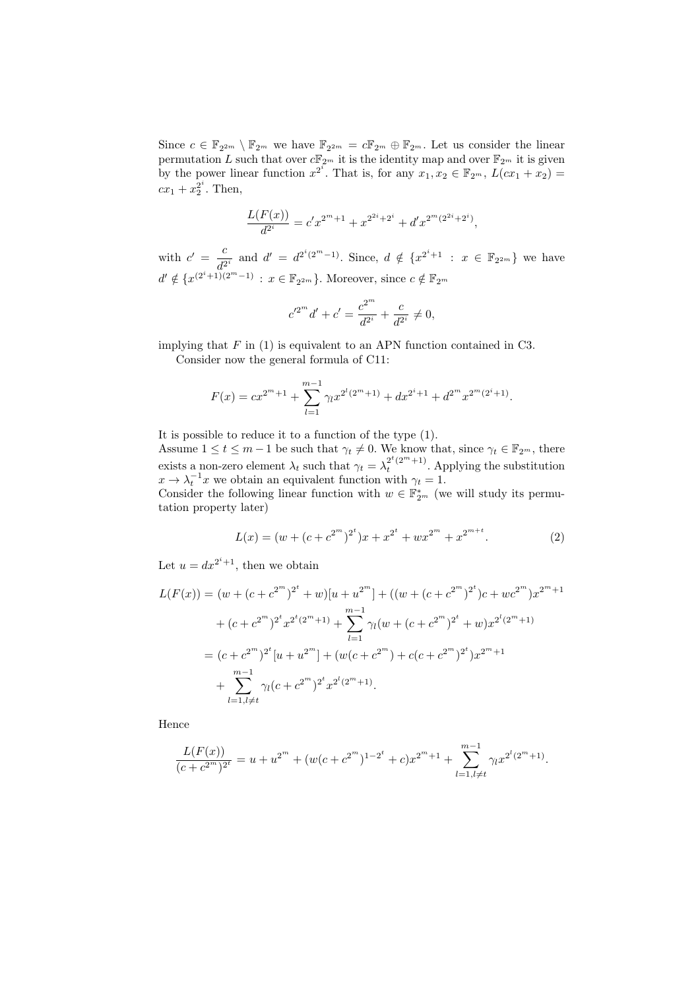Since  $c \in \mathbb{F}_{2^{2m}} \setminus \mathbb{F}_{2^m}$  we have  $\mathbb{F}_{2^{2m}} = c \mathbb{F}_{2^m} \oplus \mathbb{F}_{2^m}$ . Let us consider the linear permutation L such that over  $c\mathbb{F}_{2^m}$  it is the identity map and over  $\mathbb{F}_{2^m}$  it is given by the power linear function  $x^{2^i}$ . That is, for any  $x_1, x_2 \in \mathbb{F}_{2^m}$ ,  $L(cx_1 + x_2) =$  $cx_1 + x_2^{2^i}$ . Then,

$$
\frac{L(F(x))}{d^{2^i}} = c'x^{2^m+1} + x^{2^{2^i}+2^i} + d'x^{2^m(2^{2^i}+2^i)},
$$

with  $c' = \frac{c}{a^2}$  $\frac{c}{d^{2^i}}$  and  $d' = d^{2^i(2^m-1)}$ . Since,  $d \notin \{x^{2^i+1} : x \in \mathbb{F}_{2^{2m}}\}$  we have  $d' \notin \{x^{(2^i+1)(2^m-1)} : x \in \mathbb{F}_{2^{2m}}\}$ . Moreover, since  $c \notin \mathbb{F}_{2^m}$ 

$$
c'^{2^m}d' + c' = \frac{c^{2^m}}{d^{2^i}} + \frac{c}{d^{2^i}} \neq 0,
$$

implying that  $F$  in (1) is equivalent to an APN function contained in C3.

Consider now the general formula of C11:

$$
F(x) = cx^{2^m+1} + \sum_{l=1}^{m-1} \gamma_l x^{2^l (2^m+1)} + dx^{2^i+1} + d^{2^m} x^{2^m (2^i+1)}.
$$

It is possible to reduce it to a function of the type (1). Assume  $1 \leq t \leq m-1$  be such that  $\gamma_t \neq 0$ . We know that, since  $\gamma_t \in \mathbb{F}_{2^m}$ , there exists a non-zero element  $\lambda_t$  such that  $\gamma_t = \lambda_t^{2^t(2^m+1)}$ . Applying the substitution  $x \to \lambda_t^{-1} x$  we obtain an equivalent function with  $\gamma_t = 1$ . Consider the following linear function with  $w \in \mathbb{F}_{2^m}^*$  (we will study its permu-

tation property later)

$$
L(x) = (w + (c + c^{2^m})^{2^t})x + x^{2^t} + wx^{2^m} + x^{2^{m+t}}.
$$
 (2)

Let  $u = dx^{2^i+1}$ , then we obtain

$$
L(F(x)) = (w + (c + c^{2^{m}})^{2^{t}} + w)[u + u^{2^{m}}] + ((w + (c + c^{2^{m}})^{2^{t}})c + wc^{2^{m}})x^{2^{m}+1}
$$
  
+  $(c + c^{2^{m}})^{2^{t}}x^{2^{t}(2^{m}+1)} + \sum_{l=1}^{m-1} \gamma_{l}(w + (c + c^{2^{m}})^{2^{t}} + w)x^{2^{l}(2^{m}+1)}$   
=  $(c + c^{2^{m}})^{2^{t}}[u + u^{2^{m}}] + (w(c + c^{2^{m}}) + c(c + c^{2^{m}})^{2^{t}})x^{2^{m}+1}$   
+  $\sum_{l=1, l \neq t}^{m-1} \gamma_{l}(c + c^{2^{m}})^{2^{t}}x^{2^{l}(2^{m}+1)}.$ 

Hence

$$
\frac{L(F(x))}{(c+c^{2^m})^{2^t}} = u + u^{2^m} + (w(c+c^{2^m})^{1-2^t} + c)x^{2^m+1} + \sum_{l=1, l \neq t}^{m-1} \gamma_l x^{2^l (2^m+1)}.
$$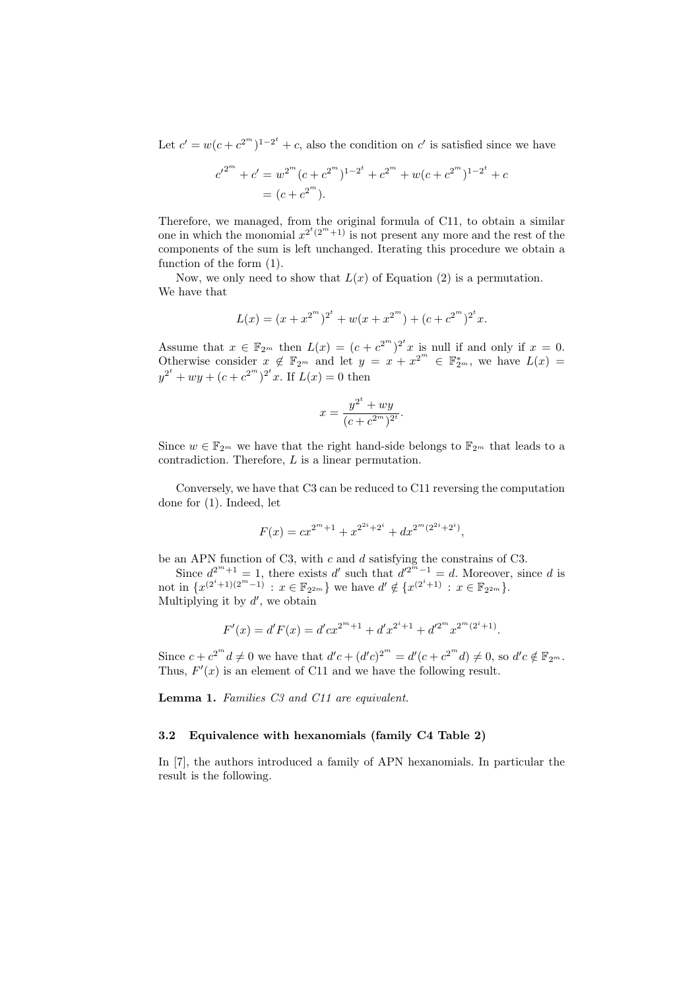Let  $c' = w(c + c^{2^m})^{1-2^t} + c$ , also the condition on c' is satisfied since we have

$$
c'^{2^m} + c' = w^{2^m} (c + c^{2^m})^{1 - 2^t} + c^{2^m} + w(c + c^{2^m})^{1 - 2^t} + c
$$
  
=  $(c + c^{2^m}).$ 

Therefore, we managed, from the original formula of C11, to obtain a similar one in which the monomial  $x^{2^t(2^m+1)}$  is not present any more and the rest of the components of the sum is left unchanged. Iterating this procedure we obtain a function of the form (1).

Now, we only need to show that  $L(x)$  of Equation (2) is a permutation. We have that

$$
L(x) = (x + x^{2^m})^{2^t} + w(x + x^{2^m}) + (c + c^{2^m})^{2^t}x.
$$

Assume that  $x \in \mathbb{F}_{2^m}$  then  $L(x) = (c + c^{2^m})^{2^t} x$  is null if and only if  $x = 0$ . Otherwise consider  $x \notin \mathbb{F}_{2^m}$  and let  $y = x + x^{2^m} \in \mathbb{F}_{2^m}^*$ , we have  $L(x) =$  $y^{2^t} + wy + (c + c^{2^m})^{2^t}x$ . If  $L(x) = 0$  then

$$
x = \frac{y^{2^t} + wy}{(c + c^{2^m})^{2^t}}.
$$

Since  $w \in \mathbb{F}_{2^m}$  we have that the right hand-side belongs to  $\mathbb{F}_{2^m}$  that leads to a contradiction. Therefore, L is a linear permutation.

Conversely, we have that C3 can be reduced to C11 reversing the computation done for (1). Indeed, let

$$
F(x) = cx^{2^m+1} + x^{2^{2^i}+2^i} + dx^{2^m(2^{2^i}+2^i)},
$$

be an APN function of C3, with  $c$  and  $d$  satisfying the constrains of C3.

Since  $d^{2^m+1} = 1$ , there exists d' such that  $d^{2^m-1} = d$ . Moreover, since d is not in  $\{x^{(2^i+1)(2^m-1)} : x \in \mathbb{F}_{2^{2m}}\}$  we have  $d' \notin \{x^{(2^i+1)} : x \in \mathbb{F}_{2^{2m}}\}.$ Multiplying it by  $d'$ , we obtain

$$
F'(x) = d'F(x) = d'cx^{2^m+1} + d'x^{2^i+1} + d'^{2^m}x^{2^m(2^i+1)}.
$$

Since  $c + c^{2^m} d \neq 0$  we have that  $d'c + (d'c)^{2^m} = d'(c + c^{2^m} d) \neq 0$ , so  $d'c \notin \mathbb{F}_{2^m}$ . Thus,  $F'(x)$  is an element of C11 and we have the following result.

Lemma 1. Families C3 and C11 are equivalent.

#### 3.2 Equivalence with hexanomials (family C4 Table 2)

In [7], the authors introduced a family of APN hexanomials. In particular the result is the following.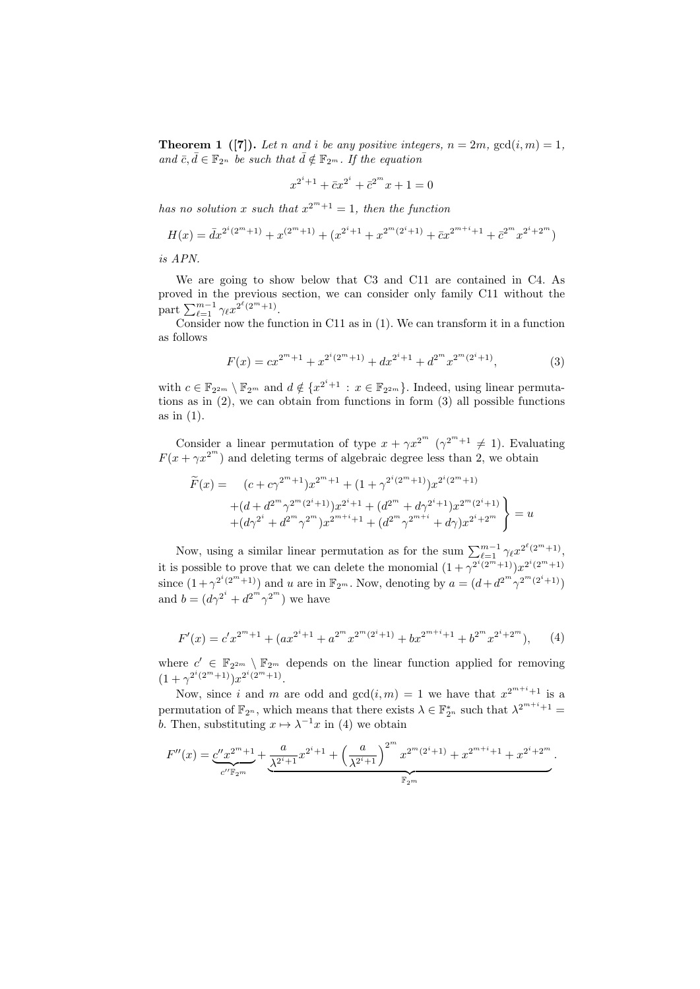**Theorem 1** ([7]). Let n and i be any positive integers,  $n = 2m$ ,  $gcd(i, m) = 1$ , and  $\bar{c}, \bar{d} \in \mathbb{F}_{2^n}$  be such that  $\bar{d} \notin \mathbb{F}_{2^m}$ . If the equation

$$
x^{2^i+1} + \bar{c}x^{2^i} + \bar{c}^{2^m}x + 1 = 0
$$

has no solution x such that  $x^{2^m+1} = 1$ , then the function

$$
H(x) = \bar{d}x^{2^i(2^m+1)} + x^{(2^m+1)} + (x^{2^i+1} + x^{2^m(2^i+1)} + \bar{c}x^{2^{m+i}+1} + \bar{c}^{2^m}x^{2^i+2^m})
$$

is APN.

We are going to show below that C3 and C11 are contained in C4. As proved in the previous section, we can consider only family C11 without the part  $\sum_{\ell=1}^{m-1} \gamma_{\ell} x^{2^{\ell}(2^m+1)}$ .

Consider now the function in C11 as in (1). We can transform it in a function as follows

$$
F(x) = cx^{2^m+1} + x^{2^i(2^m+1)} + dx^{2^i+1} + d^{2^m}x^{2^m(2^i+1)},
$$
\n(3)

with  $c \in \mathbb{F}_{2^{2m}} \setminus \mathbb{F}_{2^m}$  and  $d \notin \{x^{2^i+1} : x \in \mathbb{F}_{2^{2m}}\}$ . Indeed, using linear permutations as in (2), we can obtain from functions in form (3) all possible functions as in (1).

Consider a linear permutation of type  $x + \gamma x^{2^m}$  ( $\gamma^{2^m+1} \neq 1$ ). Evaluating  $F(x + \gamma x^{2^m})$  and deleting terms of algebraic degree less than 2, we obtain

$$
\widetilde{F}(x) = (c + c\gamma^{2^m+1})x^{2^m+1} + (1 + \gamma^{2^i(2^m+1)})x^{2^i(2^m+1)}
$$
\n
$$
+ (d + d^{2^m}\gamma^{2^m(2^i+1)})x^{2^i+1} + (d^{2^m} + d\gamma^{2^i+1})x^{2^m(2^i+1)}
$$
\n
$$
+ (d\gamma^{2^i} + d^{2^m}\gamma^{2^m})x^{2^{m+i}+1} + (d^{2^m}\gamma^{2^{m+i}} + d\gamma)x^{2^i+2^m}
$$
\n
$$
= u
$$

Now, using a similar linear permutation as for the sum  $\sum_{\ell=1}^{m-1} \gamma_{\ell} x^{2^{\ell}(2^m+1)}$ , it is possible to prove that we can delete the monomial  $(1 + \gamma^{2^i(2^m+1)})x^{2^i(2^m+1)}$ since  $(1+\gamma^{2^i(2^m+1)})$  and u are in  $\mathbb{F}_{2^m}$ . Now, denoting by  $a=(d+d^{2^m}\gamma^{2^m(2^i+1)})$ and  $b = (d\gamma^{2^i} + d^{2^m}\gamma^{2^m})$  we have

$$
F'(x) = c' x^{2^m + 1} + (ax^{2^i + 1} + a^{2^m} x^{2^m (2^i + 1)} + bx^{2^{m+i} + 1} + b^{2^m} x^{2^i + 2^m}),
$$
 (4)

where  $c' \in \mathbb{F}_{2^{2m}} \setminus \mathbb{F}_{2^m}$  depends on the linear function applied for removing  $(1+\gamma^{2^i(2^m+1)})x^{2^i(2^m+1)}.$ 

Now, since i and m are odd and  $gcd(i,m) = 1$  we have that  $x^{2^{m+i}+1}$  is a permutation of  $\mathbb{F}_{2^n}$ , which means that there exists  $\lambda \in \mathbb{F}_{2^n}^*$  such that  $\lambda^{2^{m+i}+1}$ b. Then, substituting  $x \mapsto \lambda^{-1}x$  in (4) we obtain

$$
F''(x) = \underbrace{c''x^{2^m+1}}_{c''\mathbb{F}_{2^m}} + \underbrace{\frac{a}{\lambda^{2^i+1}}x^{2^i+1}}_{\mathbb{F}_{2^m}} + \left(\frac{a}{\lambda^{2^i+1}}\right)^{2^m} x^{2^m(2^i+1)}_{\mathbb{F}_{2^m}} + x^{2^{m+i}+1}_{\mathbb{F}_{2^m}} + x^{2^i+2^m}.
$$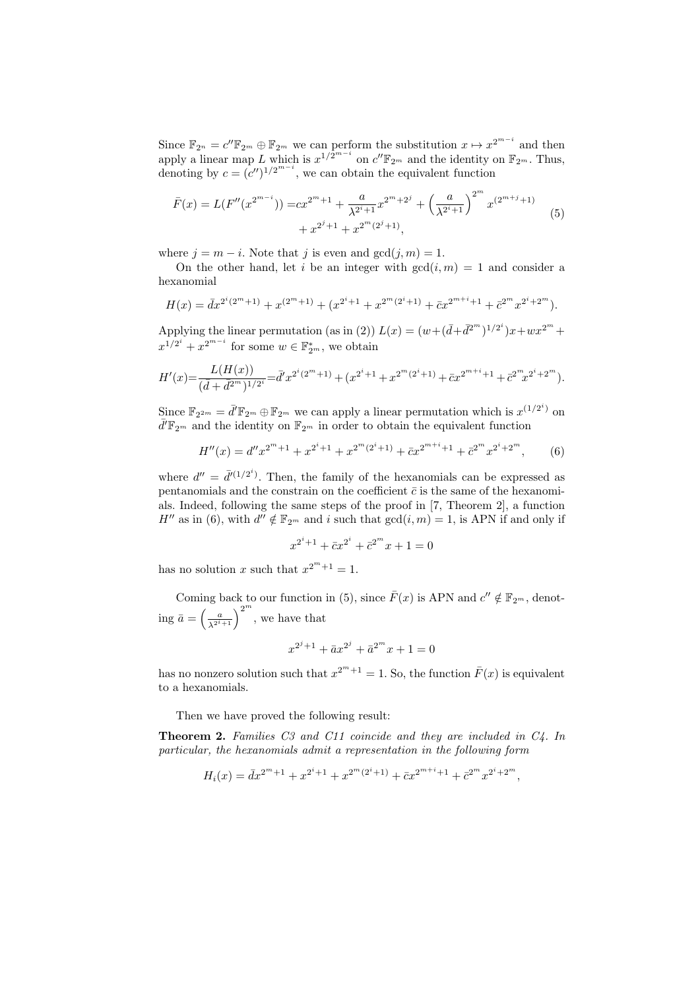Since  $\mathbb{F}_{2^n} = c'' \mathbb{F}_{2^m} \oplus \mathbb{F}_{2^m}$  we can perform the substitution  $x \mapsto x^{2^{m-i}}$  and then apply a linear map L which is  $x^{1/\bar{2}^{m-i}}$  on  $c''\mathbb{F}_{2^m}$  and the identity on  $\mathbb{F}_{2^m}$ . Thus, denoting by  $c = (c'')^{1/2^{m-i}}$ , we can obtain the equivalent function

$$
\bar{F}(x) = L(F''(x^{2^{m-i}})) = cx^{2^m+1} + \frac{a}{\lambda^{2^i+1}}x^{2^m+2^j} + \left(\frac{a}{\lambda^{2^i+1}}\right)^{2^m} x^{(2^{m+j}+1)} + x^{2^j+1} + x^{2^m(2^j+1)},
$$
\n(5)

where  $j = m - i$ . Note that j is even and  $gcd(j, m) = 1$ .

On the other hand, let i be an integer with  $gcd(i, m) = 1$  and consider a hexanomial

$$
H(x) = dx^{2^{i}(2^{m}+1)} + x^{(2^{m}+1)} + (x^{2^{i}+1} + x^{2^{m}(2^{i}+1)} + \bar{c}x^{2^{m+i}+1} + \bar{c}^{2^{m}}x^{2^{i}+2^{m}}).
$$

Applying the linear permutation (as in (2))  $L(x) = (w + (\bar{d} + \bar{d}^{2^m})^{1/2^i})x + wx^{2^m} +$  $x^{1/2^i} + x^{2^{m-i}}$  for some  $w \in \mathbb{F}_{2^m}^*$ , we obtain

$$
H'(x) = \frac{L(H(x))}{(\bar{d} + \bar{d}^{2^m})^{1/2^i}} = \bar{d}'x^{2^i(2^m+1)} + (x^{2^i+1} + x^{2^m(2^i+1)} + \bar{c}x^{2^{m+i}+1} + \bar{c}^{2^m}x^{2^i+2^m}).
$$

Since  $\mathbb{F}_{2^{2m}} = \bar{d}' \mathbb{F}_{2^m} \oplus \mathbb{F}_{2^m}$  we can apply a linear permutation which is  $x^{(1/2^i)}$  on  $\bar{d}'\mathbb{F}_{2^m}$  and the identity on  $\mathbb{F}_{2^m}$  in order to obtain the equivalent function

$$
H''(x) = d''x^{2^m+1} + x^{2^i+1} + x^{2^m(2^i+1)} + \bar{c}x^{2^{m+i}+1} + \bar{c}^{2^m}x^{2^i+2^m},
$$
 (6)

where  $d'' = \overline{d}^{(1/2^i)}$ . Then, the family of the hexanomials can be expressed as pentanomials and the constrain on the coefficient  $\bar{c}$  is the same of the hexanomials. Indeed, following the same steps of the proof in [7, Theorem 2], a function  $H''$  as in (6), with  $d'' \notin \mathbb{F}_{2^m}$  and i such that  $gcd(i, m) = 1$ , is APN if and only if

$$
x^{2^i+1} + \bar{c}x^{2^i} + \bar{c}^{2^m}x + 1 = 0
$$

has no solution x such that  $x^{2^m+1} = 1$ .

Coming back to our function in (5), since  $\bar{F}(x)$  is APN and  $c'' \notin \mathbb{F}_{2^m}$ , denoting  $\bar{a} = \left(\frac{a}{\lambda^{2^i+1}}\right)^{2^m}$ , we have that

$$
x^{2^{j}+1} + \bar{a}x^{2^{j}} + \bar{a}^{2^{m}}x + 1 = 0
$$

has no nonzero solution such that  $x^{2^m+1} = 1$ . So, the function  $\bar{F}(x)$  is equivalent to a hexanomials.

Then we have proved the following result:

Theorem 2. Families C3 and C11 coincide and they are included in C4. In particular, the hexanomials admit a representation in the following form

$$
H_i(x) = \bar{d}x^{2^m+1} + x^{2^i+1} + x^{2^m(2^i+1)} + \bar{c}x^{2^{m+i}+1} + \bar{c}^{2^m}x^{2^i+2^m},
$$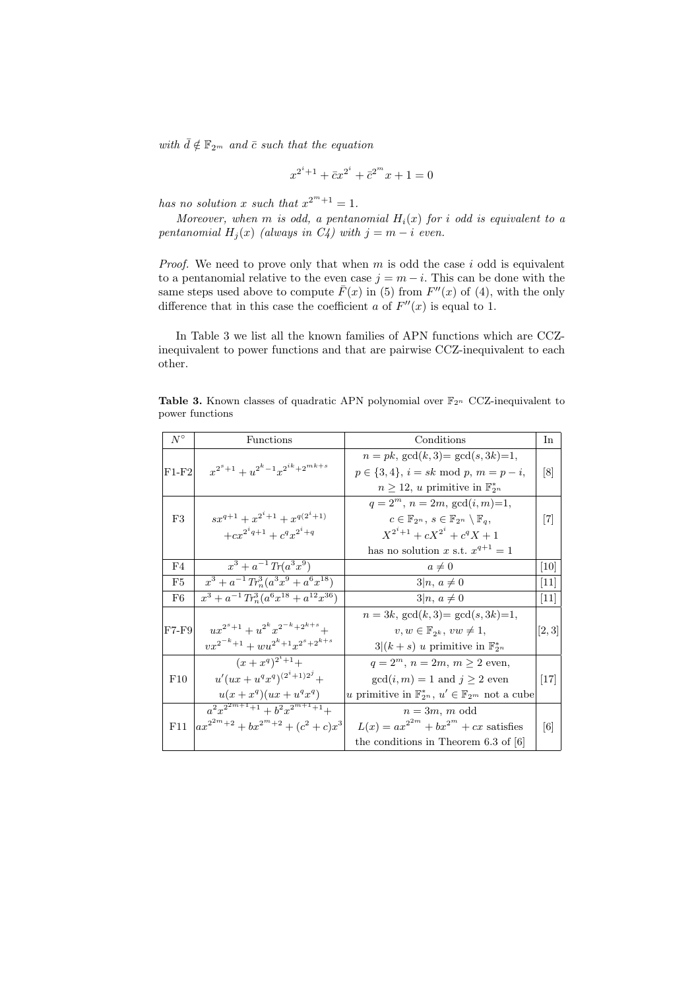with  $\bar{d} \notin \mathbb{F}_{2^m}$  and  $\bar{c}$  such that the equation

$$
x^{2^i+1} + \bar{c}x^{2^i} + \bar{c}^{2^m}x + 1 = 0
$$

has no solution x such that  $x^{2^m+1} = 1$ .

Moreover, when m is odd, a pentanomial  $H_i(x)$  for i odd is equivalent to a pentanomial  $H_i(x)$  (always in  $C_i$ ) with  $j = m - i$  even.

*Proof.* We need to prove only that when  $m$  is odd the case  $i$  odd is equivalent to a pentanomial relative to the even case  $j = m - i$ . This can be done with the same steps used above to compute  $\bar{F}(x)$  in (5) from  $F''(x)$  of (4), with the only difference that in this case the coefficient a of  $F''(x)$  is equal to 1.

In Table 3 we list all the known families of APN functions which are CCZinequivalent to power functions and that are pairwise CCZ-inequivalent to each other.

Table 3. Known classes of quadratic APN polynomial over  $\mathbb{F}_{2^n}$  CCZ-inequivalent to power functions

| $N^{\circ}$ | Functions                                          | Conditions                                                                 | In                  |
|-------------|----------------------------------------------------|----------------------------------------------------------------------------|---------------------|
|             |                                                    | $n = pk$ , $gcd(k, 3) = gcd(s, 3k) = 1$ ,                                  |                     |
| $F1-F2$     | $x^{2^s+1} + u^{2^k-1}x^{2^{ik}+2^{mk+s}}$         | $p \in \{3, 4\}, i = sk \mod p, m = p - i,$                                | $\lbrack 8 \rbrack$ |
|             |                                                    | $n \geq 12$ , u primitive in $\mathbb{F}_{2^n}^*$                          |                     |
|             |                                                    | $q = 2^m$ , $n = 2m$ , $gcd(i, m) = 1$ ,                                   |                     |
| F3          | $sx^{q+1} + x^{2^i+1} + x^{q(2^i+1)}$              | $c \in \mathbb{F}_{2^n}, s \in \mathbb{F}_{2^n} \setminus \mathbb{F}_q,$   | $[7]$               |
|             | $+cx^{2^iq+1}+c^qx^{2^i+q}$                        | $X^{2^i+1} + cX^{2^i} + c^q X + 1$                                         |                     |
|             |                                                    | has no solution x s.t. $x^{q+1} = 1$                                       |                     |
| F4          | $x^3 + a^{-1} Tr(a^3 x^9)$                         | $a\neq 0$                                                                  | $[10]$              |
| F5          | $x^3 + a^{-1} Tr_n^3 (a^3 x^9 + a^6 x^{18})$       | $3 n, a \neq 0$                                                            | $\vert 11 \vert$    |
| F6          | $x^3 + a^{-1} Tr_n^3 (a^6 x^{18} + a^{12} x^{36})$ | $3 n, a \neq 0$                                                            | $\vert 11 \vert$    |
|             |                                                    | $n = 3k$ , $gcd(k, 3) = gcd(s, 3k) = 1$ ,                                  |                     |
| $F7-F9$     | $ux^{2^s+1} + u^{2^k}x^{2^{-k}+2^{k+s}} +$         | $v, w \in \mathbb{F}_{2^k}, vw \neq 1,$                                    | [2, 3]              |
|             | $vx^{2^{-k}+1} + wu^{2^{k}+1}x^{2^{s}+2^{k+s}}$    | $3 (k+s)$ u primitive in $\mathbb{F}_{2^n}^*$                              |                     |
|             | $(x+x^q)^{2^i+1}+$                                 | $q = 2^m$ , $n = 2m$ , $m \ge 2$ even,                                     |                     |
| F10         | $u'(ux+u^q x^q)^{(2^i+1)2^j} +$                    | $gcd(i, m) = 1$ and $j \ge 2$ even                                         | $\vert 17 \vert$    |
|             | $u(x+x^q)(ux+u^q x^q)$                             | u primitive in $\mathbb{F}_{2^n}^*$ , $u' \in \mathbb{F}_{2^m}$ not a cube |                     |
|             | $a^2x^{2^{2m+1}+1}+b^2x^{2^{m+1}+1}+$              | $n=3m, m \text{ odd}$                                                      |                     |
| F11         | $\left ax^{2^{2m}+2}+bx^{2^m+2}+(c^2+c)x^3\right $ | $L(x) = ax^{2^{2m}} + bx^{2^m} + cx$ satisfies                             | 6                   |
|             |                                                    | the conditions in Theorem $6.3$ of $[6]$                                   |                     |
|             |                                                    |                                                                            |                     |